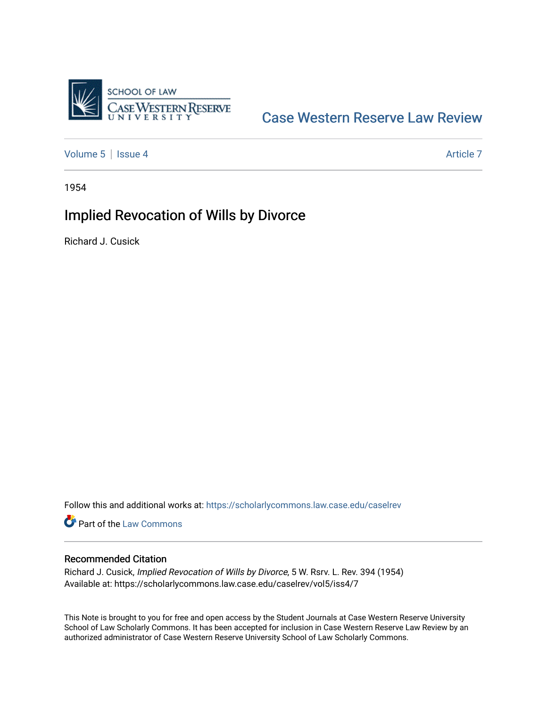

## [Case Western Reserve Law Review](https://scholarlycommons.law.case.edu/caselrev)

[Volume 5](https://scholarlycommons.law.case.edu/caselrev/vol5) | [Issue 4](https://scholarlycommons.law.case.edu/caselrev/vol5/iss4) Article 7

1954

# Implied Revocation of Wills by Divorce

Richard J. Cusick

Follow this and additional works at: [https://scholarlycommons.law.case.edu/caselrev](https://scholarlycommons.law.case.edu/caselrev?utm_source=scholarlycommons.law.case.edu%2Fcaselrev%2Fvol5%2Fiss4%2F7&utm_medium=PDF&utm_campaign=PDFCoverPages)

Part of the [Law Commons](http://network.bepress.com/hgg/discipline/578?utm_source=scholarlycommons.law.case.edu%2Fcaselrev%2Fvol5%2Fiss4%2F7&utm_medium=PDF&utm_campaign=PDFCoverPages)

### Recommended Citation

Richard J. Cusick, Implied Revocation of Wills by Divorce, 5 W. Rsrv. L. Rev. 394 (1954) Available at: https://scholarlycommons.law.case.edu/caselrev/vol5/iss4/7

This Note is brought to you for free and open access by the Student Journals at Case Western Reserve University School of Law Scholarly Commons. It has been accepted for inclusion in Case Western Reserve Law Review by an authorized administrator of Case Western Reserve University School of Law Scholarly Commons.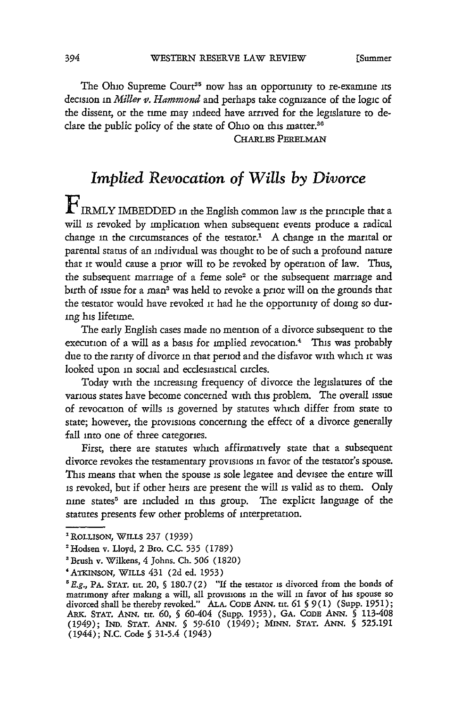The Ohio Supreme Court<sup>35</sup> now has an opportunity to re-examine its decision in *Miller* v. *Hammond* and perhaps take cognizance of the logic of the dissent, or the tune may indeed have arrived for the legislature to declare the public policy of the state of Ohio on this matter.<sup>36</sup>

CHARLES **PERELMAN**

## *Implied Revocation of Wills by Divorce*

**F**IRMLY IMBEDDED in the English common law is the principle that a will is revoked by implication when subsequent events produce a radical change in the circumstances of the testator. $<sup>1</sup>$  A change in the marital or</sup> parental status of an individual was thought to be of such a profound nature that **it** would cause a prior will to be revoked by operation of law. Thus, the subsequent marriage of a feme sole<sup>2</sup> or the subsequent marriage and birth of issue for a man3 was held to revoke a prior will on the grounds that the testator would have revoked it had he the opportunity of doing so during his lifetime.

The early English cases made no mention of a divorce subsequent to the execution of a will as a basis for implied revocation.<sup>4</sup> This was probably due to the rarity of divorce in that period and the disfavor with which it was looked upon in social and ecclesiastical circles.

Today with the increasing frequency of divorce the legislatures of the various states have become concerned with this problem. The overall issue of revocation of wills is governed by statutes which differ from state to state; however, the provisions concerning the effect of a divorce generally fall into one of three categories.

First, there are statutes which affirmatively state that a subsequent divorce revokes the testamentary provisions in favor of the testator's spouse. This means that when the spouse is sole legatee and devisee the entire will is revoked, but if other heirs are present the will is valid as to them. Only nine states<sup>5</sup> are included in this group. The explicit language of the statutes presents few other problems of interpretation.

**<sup>1</sup>** ROLLISON, **WILLs 237 (1939)**

<sup>&#</sup>x27;Hodsen v. Lloyd, 2 Bro. **C.C.** 535 **(1789)**

<sup>&#</sup>x27;Brush v. Wilkens, 4 Johns. Ch. 506 (1820)

<sup>&#</sup>x27;ATKINsON, WILLS **431** (2d ed. 1953)

**<sup>&#</sup>x27;E.g.,** PA. **STAT.** tit. 20, **§** 180.7(2) **"If** the testator is divorced from the bonds of matrimony after making a will, all provisions **in** the will in favor of his spouse so divorced shall be thereby revoked." ALA. CODi ANN. **nit. 61** § **9(1)** (Supp. **1951);** ARK. **STAT. ANN.** *tit.* **60, §** 60-404 (Supp. **1953), GA. CoDE ANN. §** 113-408 (1949); IND. **STAT. ANN.** *§* **59-610** (1949); **MNN. STAT. ANN. § 525.191** (1944); **N.C.** Code **§ 31-5.4** (1943)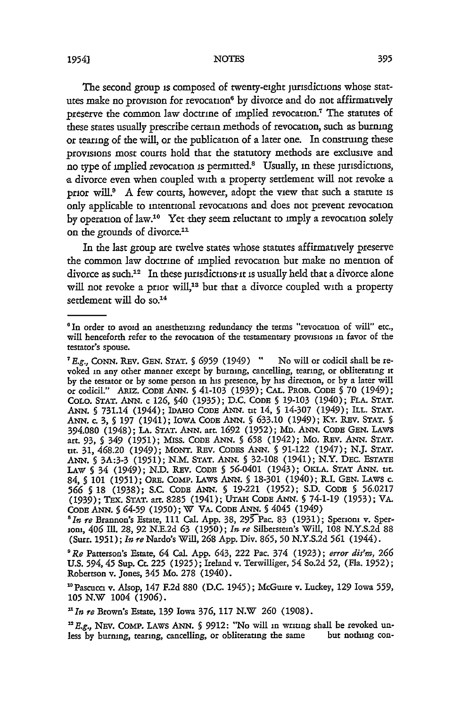#### NOTES

The second group is composed of twenty-eight jurisdictions whose statutes make no provision for revocation<sup>6</sup> by divorce and do not affirmatively preserve the common law doctrine of implied revocation.<sup>7</sup> The statutes of these states usually prescribe certain methods of revocation, such as burning or tearing of the will, or the publication of a later one. In construing these provisions most courts hold that the statutory methods are exdusive and no type of implied revocation is permitted.8 Usually, in these jurisdictions, **a** divorce even when coupled with a property settlement will not revoke a prior will? A few courts, however, adopt the view that such a statute is only applicable to intentional revocations and does not prevent revocation by operation of law.<sup>10</sup> Yet they seem reluctant to imply a revocation solely on the grounds of divorce.<sup>11</sup>

In the last group are twelve states whose statutes affirmatively preserve the common law doctrine of implied revocation but make no mention of divorce as such.<sup>12</sup> In these jurisdictions<sup>11</sup> is usually held that a divorce alone will not revoke a prior will,<sup>13</sup> but that a divorce coupled with a property settlement will do so.<sup>14</sup>

<sup>&#</sup>x27;In order to avoid an anesthetizing redundancy the terms "revocation of will" etc., will henceforth refer to the revocation of the testamentary provisions in favor of the testator's spouse.

*<sup>7</sup>E.g.,* CONN. REv. GEN. **STAT. § 6959** (1949) **"** No will or codicil shall be revoked in any other manner except by burning, cancelling, tearing, or obliterating it by the testator or by some person in his presence, by his direction, or by a later will or codicil." ARiz. CODE ANN. *§* 41-103 **(1939);** CAL. PROB. CODE **§** 70 (1949); COLO. STAT. ANN. c 126, §40 (1935); D.C. CODE **§** 19-103 (1940); FLA. STAT. ANN. **§** 731.14 (1944); IDAHO CODE ANN. **tit** 14, **§** 14-307 (1949); ILL. STAT. ANN. c. **3, § 197** (1941); IOWA CODE ANN. *§* 633.10 (1949); KY. REv. **STAT. §** 394.080 (1948); **LA. STAT.** ANN. art. 1692 **(1952);** MD. ANN. CODE GEN. LAWS art. **93, §** 349 (1951); Miss. CODE ANN. *§* **658** (1942); Mo. REv. ANN. **STAT. tit. 31,** 468.20 (1949); MONT. REv. CODEs ANN. **§** 91-122 (1947); N.J. STAT. ANN. **§** 3A:3-3 (1951); N.M. STAT. ANN. § 32-108 (1941); N.Y. DEc. ESTATE LAW **§** 34 (1949); N.D. REv. CODE § 56-0401 (1943); OKLA. **STAT** ANN. **tit.** 84, **§** 101 (1951); ORE. COMp. LAWS ANN. **§** 18-301 (1940); R.I. GEN. LAws c. **566 §** 18 (1938); S.C. CODE ANN. § 19-221 (1952); S.D. CODE **§** 56.0217 (1939); TEx. **STAT.** art. 8285 (1941); UTAH **CODE** ANN. **§** 74-1-19 **(1953);** VA. CODE ANN. *§* 64-59 **(1950);** W VA. CODE ANN. **§** 4045 (1949)

*<sup>&#</sup>x27;In re* Brannon's Estate, **111** Cal. **App.** 38, 295 Pac. 83 **(1931);** Sperioni v. Sperioni, 406 IMI. 28, 92 N.E.2d **63 (1950);** *In re* Silberstein's Will, **108** N.Y.S.2d 88 (Surr. **1951);** *In re* Nardo's Will, **268** App. Div. **865, 50** N.Y.S.2d **561** (1944).

*<sup>&#</sup>x27;Re* Patterson's Estate, 64 Cal. **App.** 643, 222 Pac. 374 (1923); *error dis'm,* **266** U.S. 594,45 Sup. Ct. **225 (1925);** Ireland v. Terwilliger, 54 So.2d **52,** (Fla. **1952);** Robertson v. Jones, 345 Mo. 278 (1940).

<sup>&</sup>quot;Pascucci v. Alsop, 147 F.2d **880** (D.C. 1945); McGuire v. Luckey, **129** Iowa **559, <sup>105</sup>**N.W 1004 **(1906).**

*<sup>&#</sup>x27;In re* Brown's Estate, **139** Iowa **376, 117** N.W **260** (1908).

*<sup>&#</sup>x27;E.g., NEV.* COMP. LAWS ANN. *§* **9912:** "No will in writing shall be revoked unless by burmng, tearing, cancelling, or obliterating the same but nothing con-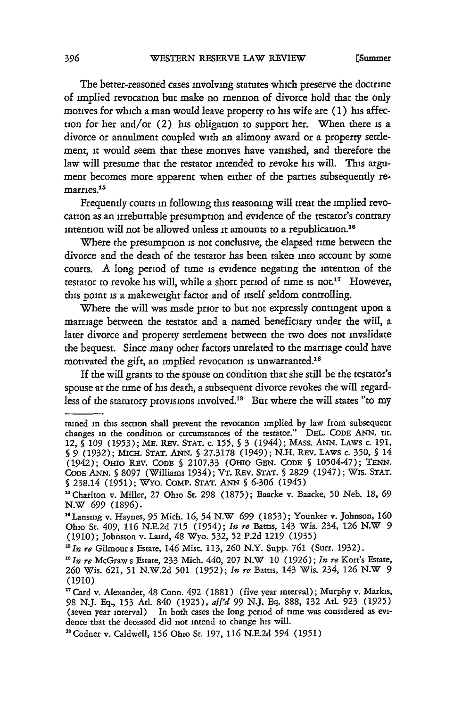[Summer

The better-reasoned cases involving statutes which preserve the doctrine of implied revocation but make no mention of divorce hold that the only motives for which a man would leave property to his wife are **(1)** his affection for her and/or (2) his obligation to support her. When there is a divorce or annulment coupled with an alimony award or a property settlement, it would seem that these motives have vanished, and therefore the law will presume that the testator intended to revoke his will. This argument becomes more apparent when either of the parties subsequently remarries.<sup>15</sup>

Frequently courts in following this reasoning will treat the implied revocation as an irrebuttable presumption and evidence of the testator's contrary intention will not be allowed unless it amounts to a republication. <sup>16</sup>

Where the presumption is not conclusive, the elapsed time between the divorce and the death of the testator has been taken into account by some courts. A long period of tune is evidence negating the intention of the testator to revoke his will, while a short period of time is not." However, this point is a makeweight factor and of itself seldom controlling.

Where the will was made prior to but not expressly contingent upon a marriage between the testator and a named beneficiary under the will, a later divorce and property settlement between the two does not invalidate the bequest. Since many other factors unrelated to the marriage could have motivated the gift, an implied revocation is unwarranted.<sup>18</sup>

If the will grants to the spouse on condition that she still be the testator's spouse at the time of his death, a subsequent divorce revokes the will regardless of the statutory provisions involved.<sup>19</sup> But where the will states "to my

tamed in this section shall prevent the revocation implied by law from subsequent changes in the condition or circumstances of the testator." DEL. CODE ANN. tit. 12, **§ 109** (1953); ME. REv. STAT. c. 155, **§** 3 (1944); MAss. ANN. LAws c. **191,** *§* 9 (1932); MicH. STAT. **ANN.** § 27.3178 (1949); N.H. REv. LAws c. 350, **§** 14 (1942); OHIO REV. CODE **§ 2107.33** (OHIo GEN. CODE **§** 10504-47); **TENN.** CODE ANN. **§** 8097 (Williams 1934); VT. REv. STAT. **§** 2829 (1947); Wis. STAT. **§** 238.14 **(1951);** WYO. COMP. STAT. ANN **§** 6-306 (1945)

<sup>&</sup>quot;Chariton v. Miller, 27 Ohio St. 298 (1875); Baacke v. Baacke, **50** Neb. **18,** 69 N.W *699* (1896).

<sup>&#</sup>x27;Lansing v. Haynes, 95 Mich. **16,** 54 N.W **699** (1853); Younker v. Johnson, **160** Ohio St. 409, **116** N.E.2d **715** (1954); *In* **re** Barns, 143 Wis. 234, **126** N.W 9 **(1910);** Johnston v. Laird, 48 Wyo. 532, 52 P.2d **1219** (1935)

*i 5in* **re** Gilmour s Estate, 146 Misc. **113, 260** N.Y. Supp. **761** (Surr. 1932).

*<sup>&</sup>quot;In* re McGraw s Estate, 233 Mich. 440, 207 N.W **10** (1926); *In re* Kort's Estate, **260** Wis. 621, **51** N.W.2d **501** (1952); *In re* Bartis, 143 Wis. 234, **126** N.W 9 (1910)

<sup>&</sup>lt;sup>17</sup> Card v. Alexander, 48 Conn. 492 (1881) (five year interval); Murphy v. Markis, <sup>98</sup>**N.J.** Eq., 153 At. 840 (1925), *af'd* <sup>99</sup>**N.J. Eq.** 888, 132 Ad. 923 (1925) (seven year interval) In both cases the long period of time was considered as evidence that the deceased did not intend to change his will.

<sup>&</sup>quot;Codner v. Caldwell, **156** Ohio St. 197, **116** N.E.2d 594 (1951)